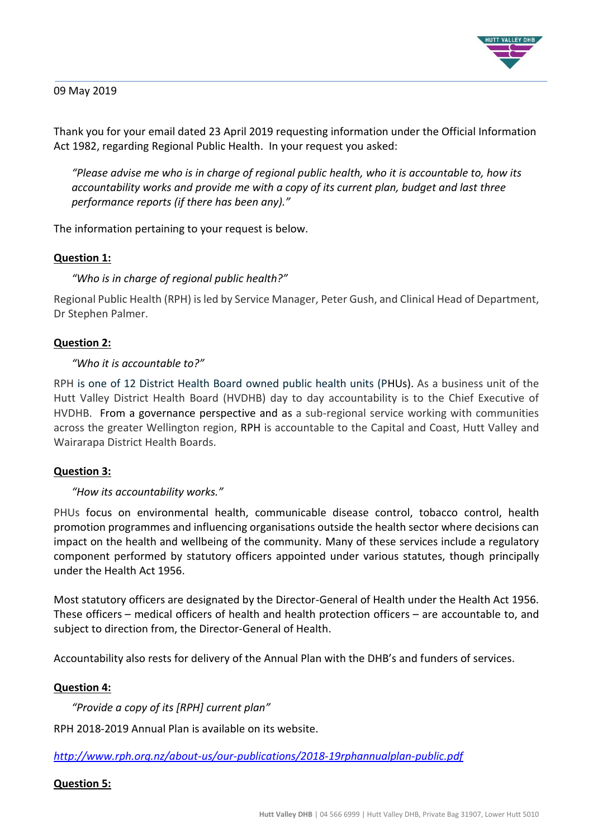

### 09 May 2019

Thank you for your email dated 23 April 2019 requesting information under the Official Information Act 1982, regarding Regional Public Health. In your request you asked:

*"Please advise me who is in charge of regional public health, who it is accountable to, how its accountability works and provide me with a copy of its current plan, budget and last three performance reports (if there has been any)."*

The information pertaining to your request is below.

### **Question 1:**

## *"Who is in charge of regional public health?"*

Regional Public Health (RPH) is led by Service Manager, Peter Gush, and Clinical Head of Department, Dr Stephen Palmer.

### **Question 2:**

### *"Who it is accountable to?"*

RPH is one of 12 District Health Board owned public health units (PHUs). As a business unit of the Hutt Valley District Health Board (HVDHB) day to day accountability is to the Chief Executive of HVDHB. From a governance perspective and as a sub-regional service working with communities across the greater Wellington region, RPH is accountable to the Capital and Coast, Hutt Valley and Wairarapa District Health Boards.

### **Question 3:**

### *"How its accountability works."*

PHUs focus on environmental health, communicable disease control, tobacco control, health promotion programmes and influencing organisations outside the health sector where decisions can impact on the health and wellbeing of the community. Many of these services include a regulatory component performed by statutory officers appointed under various statutes, though principally under the Health Act 1956.

Most statutory officers are designated by the Director-General of Health under the Health Act 1956. These officers – medical officers of health and health protection officers – are accountable to, and subject to direction from, the Director-General of Health.

Accountability also rests for delivery of the Annual Plan with the DHB's and funders of services.

### **Question 4:**

*"Provide a copy of its [RPH] current plan"*

RPH 2018-2019 Annual Plan is available on its website.

### *<http://www.rph.org.nz/about-us/our-publications/2018-19rphannualplan-public.pdf>*

### **Question 5:**